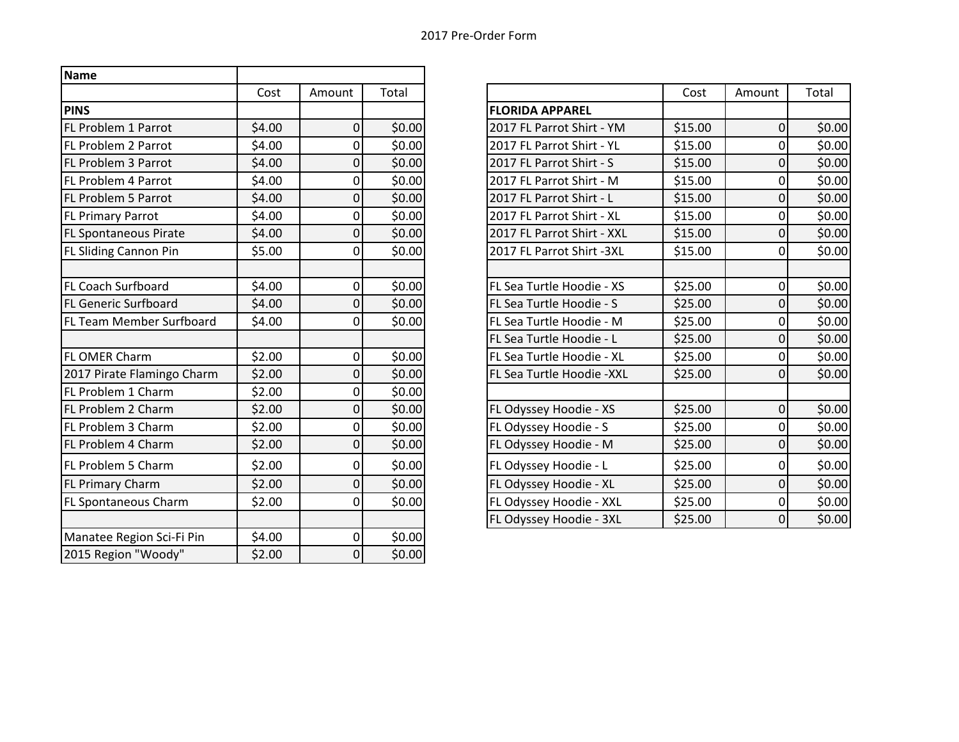| <b>Name</b>                  |        |                |        |                            |         |                  |        |
|------------------------------|--------|----------------|--------|----------------------------|---------|------------------|--------|
|                              | Cost   | Amount         | Total  |                            | Cost    | Amount           | Total  |
| <b>PINS</b>                  |        |                |        | <b>FLORIDA APPAREL</b>     |         |                  |        |
| FL Problem 1 Parrot          | \$4.00 | $\overline{0}$ | \$0.00 | 2017 FL Parrot Shirt - YM  | \$15.00 | $\mathbf 0$      | \$0.00 |
| FL Problem 2 Parrot          | \$4.00 | $\overline{0}$ | \$0.00 | 2017 FL Parrot Shirt - YL  | \$15.00 | $\mathbf 0$      | \$0.00 |
| <b>FL Problem 3 Parrot</b>   | \$4.00 | $\overline{0}$ | \$0.00 | 2017 FL Parrot Shirt - S   | \$15.00 | 0                | \$0.00 |
| <b>FL Problem 4 Parrot</b>   | \$4.00 | Οl             | \$0.00 | 2017 FL Parrot Shirt - M   | \$15.00 | $\overline{0}$   | \$0.00 |
| <b>FL Problem 5 Parrot</b>   | \$4.00 | $\overline{0}$ | \$0.00 | 2017 FL Parrot Shirt - L   | \$15.00 | $\boldsymbol{0}$ | \$0.00 |
| <b>FL Primary Parrot</b>     | \$4.00 | 0              | \$0.00 | 2017 FL Parrot Shirt - XL  | \$15.00 | $\mathbf 0$      | \$0.00 |
| <b>FL Spontaneous Pirate</b> | \$4.00 | $\Omega$       | \$0.00 | 2017 FL Parrot Shirt - XXL | \$15.00 | 0                | \$0.00 |
| FL Sliding Cannon Pin        | \$5.00 | $\overline{0}$ | \$0.00 | 2017 FL Parrot Shirt -3XL  | \$15.00 | $\mathbf 0$      | \$0.00 |
|                              |        |                |        |                            |         |                  |        |
| <b>FL Coach Surfboard</b>    | \$4.00 | $\overline{0}$ | \$0.00 | FL Sea Turtle Hoodie - XS  | \$25.00 | $\mathbf 0$      | \$0.00 |
| <b>FL Generic Surfboard</b>  | \$4.00 | $\overline{0}$ | \$0.00 | FL Sea Turtle Hoodie - S   | \$25.00 | 0                | \$0.00 |
| FL Team Member Surfboard     | \$4.00 | Οl             | \$0.00 | FL Sea Turtle Hoodie - M   | \$25.00 | $\mathbf 0$      | \$0.00 |
|                              |        |                |        | FL Sea Turtle Hoodie - L   | \$25.00 | $\mathbf 0$      | \$0.00 |
| <b>FL OMER Charm</b>         | \$2.00 | 0              | \$0.00 | FL Sea Turtle Hoodie - XL  | \$25.00 | $\mathbf 0$      | \$0.00 |
| 2017 Pirate Flamingo Charm   | \$2.00 | $\overline{0}$ | \$0.00 | FL Sea Turtle Hoodie - XXL | \$25.00 | 0                | \$0.00 |
| FL Problem 1 Charm           | \$2.00 | $\overline{0}$ | \$0.00 |                            |         |                  |        |
| FL Problem 2 Charm           | \$2.00 | $\mathbf 0$    | \$0.00 | FL Odyssey Hoodie - XS     | \$25.00 | $\mathbf 0$      | \$0.00 |
| <b>FL Problem 3 Charm</b>    | \$2.00 | $\overline{0}$ | \$0.00 | FL Odyssey Hoodie - S      | \$25.00 | $\mathbf 0$      | \$0.00 |
| FL Problem 4 Charm           | \$2.00 | $\overline{0}$ | \$0.00 | FL Odyssey Hoodie - M      | \$25.00 | $\overline{0}$   | \$0.00 |
| FL Problem 5 Charm           | \$2.00 | $\overline{0}$ | \$0.00 | FL Odyssey Hoodie - L      | \$25.00 | $\mathbf 0$      | \$0.00 |
| <b>FL Primary Charm</b>      | \$2.00 | $\overline{0}$ | \$0.00 | FL Odyssey Hoodie - XL     | \$25.00 | $\overline{0}$   | \$0.00 |
| <b>FL Spontaneous Charm</b>  | \$2.00 | Οl             | \$0.00 | FL Odyssey Hoodie - XXL    | \$25.00 | $\mathbf 0$      | \$0.00 |
|                              |        |                |        | FL Odyssey Hoodie - 3XL    | \$25.00 | $\mathbf 0$      | \$0.00 |
| Manatee Region Sci-Fi Pin    | \$4.00 | $\overline{0}$ | \$0.00 |                            |         |                  |        |
| 2015 Region "Woody"          | \$2.00 | $\overline{0}$ | \$0.00 |                            |         |                  |        |

| Cost | Amount           | Total  |                            | Cost    | Amount           | Total  |
|------|------------------|--------|----------------------------|---------|------------------|--------|
|      |                  |        | <b>FLORIDA APPAREL</b>     |         |                  |        |
| 4.00 | $\boldsymbol{0}$ | \$0.00 | 2017 FL Parrot Shirt - YM  | \$15.00 | 0                | \$0.00 |
| 4.00 | $\mathbf 0$      | \$0.00 | 2017 FL Parrot Shirt - YL  | \$15.00 | 0                | \$0.00 |
| 4.00 | $\boldsymbol{0}$ | \$0.00 | 2017 FL Parrot Shirt - S   | \$15.00 | $\boldsymbol{0}$ | \$0.00 |
| 4.00 | $\boldsymbol{0}$ | \$0.00 | 2017 FL Parrot Shirt - M   | \$15.00 | 0                | \$0.00 |
| 4.00 | $\boldsymbol{0}$ | \$0.00 | 2017 FL Parrot Shirt - L   | \$15.00 | 0                | \$0.00 |
| 4.00 | $\mathbf 0$      | \$0.00 | 2017 FL Parrot Shirt - XL  | \$15.00 | 0                | \$0.00 |
| 4.00 | $\mathbf 0$      | \$0.00 | 2017 FL Parrot Shirt - XXL | \$15.00 | $\pmb{0}$        | \$0.00 |
| 5.00 | $\mathbf 0$      | \$0.00 | 2017 FL Parrot Shirt -3XL  | \$15.00 | 0                | \$0.00 |
|      |                  |        |                            |         |                  |        |
| 4.00 | $\mathbf 0$      | \$0.00 | FL Sea Turtle Hoodie - XS  | \$25.00 | 0                | \$0.00 |
| 4.00 | $\mathbf 0$      | \$0.00 | FL Sea Turtle Hoodie - S   | \$25.00 | 0                | \$0.00 |
| 4.00 | 0                | \$0.00 | FL Sea Turtle Hoodie - M   | \$25.00 | 0                | \$0.00 |
|      |                  |        | FL Sea Turtle Hoodie - L   | \$25.00 | 0                | \$0.00 |
| 2.00 | $\mathbf 0$      | \$0.00 | FL Sea Turtle Hoodie - XL  | \$25.00 | 0                | \$0.00 |
| 2.00 | $\mathbf 0$      | \$0.00 | FL Sea Turtle Hoodie -XXL  | \$25.00 | 0                | \$0.00 |
| 2.00 | $\mathbf 0$      | \$0.00 |                            |         |                  |        |
| 2.00 | $\mathbf 0$      | \$0.00 | FL Odyssey Hoodie - XS     | \$25.00 | $\boldsymbol{0}$ | \$0.00 |
| 2.00 | $\mathbf 0$      | \$0.00 | FL Odyssey Hoodie - S      | \$25.00 | 0                | \$0.00 |
| 2.00 | $\boldsymbol{0}$ | \$0.00 | FL Odyssey Hoodie - M      | \$25.00 | 0                | \$0.00 |
| 2.00 | $\boldsymbol{0}$ | \$0.00 | FL Odyssey Hoodie - L      | \$25.00 | 0                | \$0.00 |
| 2.00 | $\boldsymbol{0}$ | \$0.00 | FL Odyssey Hoodie - XL     | \$25.00 | 0                | \$0.00 |
| 2.00 | 0                | \$0.00 | FL Odyssey Hoodie - XXL    | \$25.00 | 0                | \$0.00 |
|      |                  |        | FL Odyssey Hoodie - 3XL    | \$25.00 | $\overline{0}$   | \$0.00 |